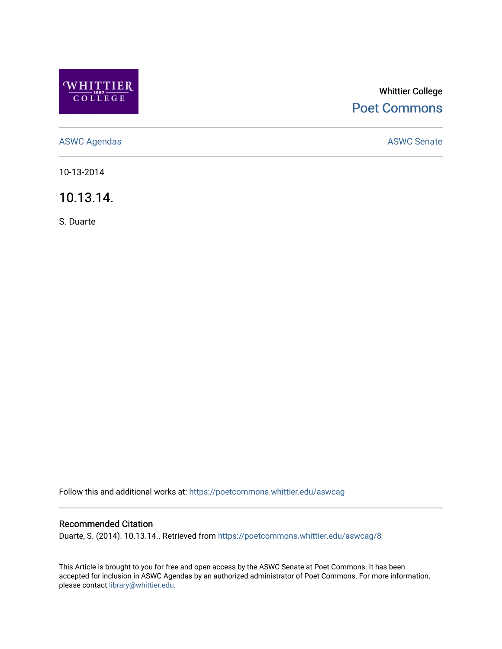

## Whittier College [Poet Commons](https://poetcommons.whittier.edu/)

[ASWC Agendas](https://poetcommons.whittier.edu/aswcag) **ASWC Senate** 

10-13-2014

10.13.14.

S. Duarte

Follow this and additional works at: [https://poetcommons.whittier.edu/aswcag](https://poetcommons.whittier.edu/aswcag?utm_source=poetcommons.whittier.edu%2Faswcag%2F8&utm_medium=PDF&utm_campaign=PDFCoverPages) 

## Recommended Citation

Duarte, S. (2014). 10.13.14.. Retrieved from [https://poetcommons.whittier.edu/aswcag/8](https://poetcommons.whittier.edu/aswcag/8?utm_source=poetcommons.whittier.edu%2Faswcag%2F8&utm_medium=PDF&utm_campaign=PDFCoverPages) 

This Article is brought to you for free and open access by the ASWC Senate at Poet Commons. It has been accepted for inclusion in ASWC Agendas by an authorized administrator of Poet Commons. For more information, please contact [library@whittier.edu](mailto:library@whittier.edu).